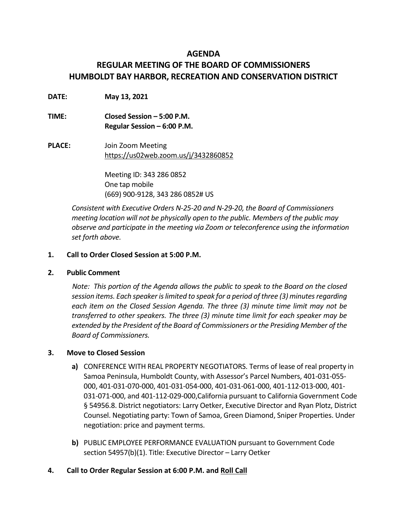## **AGENDA**

# **REGULAR MEETING OF THE BOARD OF COMMISSIONERS HUMBOLDT BAY HARBOR, RECREATION AND CONSERVATION DISTRICT**

- **DATE: May 13, 2021**
- **TIME: Closed Session – 5:00 P.M. Regular Session – 6:00 P.M.**
- **PLACE:** Join Zoom Meeting <https://us02web.zoom.us/j/3432860852>

Meeting ID: 343 286 0852 One tap mobile (669) 900-9128, 343 286 0852# US

*Consistent with Executive Orders N-25-20 and N-29-20, the Board of Commissioners meeting location will not be physically open to the public. Members of the public may observe and participate in the meeting via Zoom or teleconference using the information set forth above.*

#### **1. Call to Order Closed Session at 5:00 P.M.**

#### **2. Public Comment**

*Note: This portion of the Agenda allows the public to speak to the Board on the closed session items. Each speaker is limited to speak for a period of three (3) minutes regarding each item on the Closed Session Agenda. The three (3) minute time limit may not be transferred to other speakers. The three (3) minute time limit for each speaker may be extended by the President of the Board of Commissioners or the Presiding Member of the Board of Commissioners.*

## **3. Move to Closed Session**

- **a)** CONFERENCE WITH REAL PROPERTY NEGOTIATORS. Terms of lease of real property in Samoa Peninsula, Humboldt County, with Assessor's Parcel Numbers, 401-031-055- 000, 401-031-070-000, 401-031-054-000, 401-031-061-000, 401-112-013-000, 401- 031-071-000, and 401-112-029-000,California pursuant to California Government Code § 54956.8. District negotiators: Larry Oetker, Executive Director and Ryan Plotz, District Counsel. Negotiating party: Town of Samoa, Green Diamond, Sniper Properties. Under negotiation: price and payment terms.
- **b)** PUBLIC EMPLOYEE PERFORMANCE EVALUATION pursuant to Government Code section 54957(b)(1). Title: Executive Director – Larry Oetker
- **4. Call to Order Regular Session at 6:00 P.M. and Roll Call**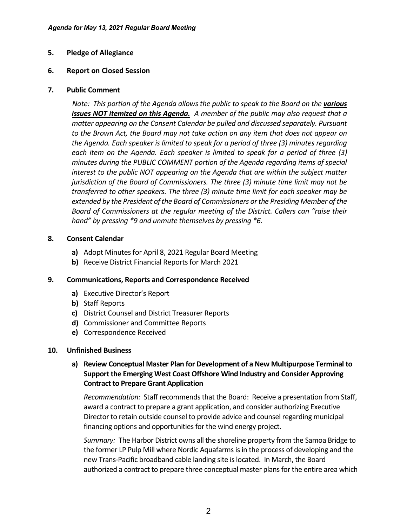## **5. Pledge of Allegiance**

#### **6. Report on Closed Session**

#### **7. Public Comment**

*Note: This portion of the Agenda allows the public to speak to the Board on the various issues NOT itemized on this Agenda. A member of the public may also request that a matter appearing on the Consent Calendar be pulled and discussed separately. Pursuant to the Brown Act, the Board may not take action on any item that does not appear on the Agenda. Each speaker is limited to speak for a period of three (3) minutes regarding*  each item on the Agenda. Each speaker is limited to speak for a period of three (3) *minutes during the PUBLIC COMMENT portion of the Agenda regarding items of special interest to the public NOT appearing on the Agenda that are within the subject matter jurisdiction of the Board of Commissioners. The three (3) minute time limit may not be transferred to other speakers. The three (3) minute time limit for each speaker may be extended by the President of the Board of Commissioners or the Presiding Member of the Board of Commissioners at the regular meeting of the District. Callers can "raise their hand" by pressing \*9 and unmute themselves by pressing \*6.*

#### **8. Consent Calendar**

- **a)** Adopt Minutes for April 8, 2021 Regular Board Meeting
- **b)** Receive District Financial Reports for March 2021

## **9. Communications, Reports and Correspondence Received**

- **a)** Executive Director's Report
- **b)** Staff Reports
- **c)** District Counsel and District Treasurer Reports
- **d)** Commissioner and Committee Reports
- **e)** Correspondence Received

## **10. Unfinished Business**

# **a) Review Conceptual Master Plan for Development of a New Multipurpose Terminal to Support the Emerging West Coast Offshore Wind Industry and Consider Approving Contract to Prepare Grant Application**

*Recommendation:* Staff recommends that the Board: Receive a presentation from Staff, award a contract to prepare a grant application, and consider authorizing Executive Director to retain outside counsel to provide advice and counsel regarding municipal financing options and opportunities for the wind energy project.

*Summary:* The Harbor District owns all the shoreline property from the Samoa Bridge to the former LP Pulp Mill where Nordic Aquafarms is in the process of developing and the new Trans-Pacific broadband cable landing site is located. In March, the Board authorized a contract to prepare three conceptual master plans for the entire area which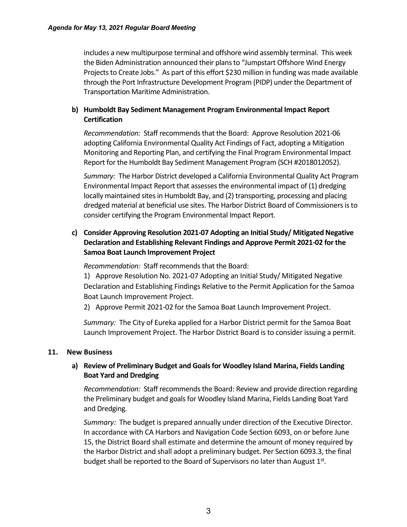includes a new multipurpose terminal and offshore wind assembly terminal. This week the Biden Administration announced their plans to "Jumpstart Offshore Wind Energy Projects to Create Jobs." As part of this effort \$230 million in funding was made available through the Port Infrastructure Development Program (PIDP) under the Department of Transportation Maritime Administration.

# **b) Humboldt Bay Sediment Management Program Environmental Impact Report Certification**

*Recommendation:* Staff recommends that the Board: Approve Resolution 2021-06 adopting California Environmental Quality Act Findings of Fact, adopting a Mitigation Monitoring and Reporting Plan, and certifying the Final Program Environmental Impact Report for the Humboldt Bay Sediment Management Program (SCH #2018012052).

*Summary:* The Harbor District developed a California Environmental Quality Act Program Environmental Impact Report that assesses the environmental impact of (1) dredging locally maintained sites in Humboldt Bay, and (2) transporting, processing and placing dredged material at beneficial use sites. The Harbor District Board of Commissioners is to consider certifying the Program Environmental Impact Report.

# **c) Consider Approving Resolution 2021-07 Adopting an Initial Study/ Mitigated Negative Declaration and Establishing Relevant Findings and Approve Permit 2021-02 for the Samoa Boat Launch Improvement Project**

*Recommendation:* Staff recommends that the Board:

1) Approve Resolution No. 2021-07 Adopting an Initial Study/ Mitigated Negative Declaration and Establishing Findings Relative to the Permit Application for the Samoa Boat Launch Improvement Project.

2) Approve Permit 2021-02 for the Samoa Boat Launch Improvement Project.

*Summary:* The City of Eureka applied for a Harbor District permit for the Samoa Boat Launch Improvement Project. The Harbor District Board is to consider issuing a permit.

# **11. New Business**

# **a) Review of Preliminary Budget and Goals for Woodley Island Marina, Fields Landing Boat Yard and Dredging**

*Recommendation:* Staff recommends the Board: Review and provide direction regarding the Preliminary budget and goals for Woodley Island Marina, Fields Landing Boat Yard and Dredging.

*Summary:* The budget is prepared annually under direction of the Executive Director. In accordance with CA Harbors and Navigation Code Section 6093, on or before June 15, the District Board shall estimate and determine the amount of money required by the Harbor District and shall adopt a preliminary budget. Per Section 6093.3, the final budget shall be reported to the Board of Supervisors no later than August  $1<sup>st</sup>$ .